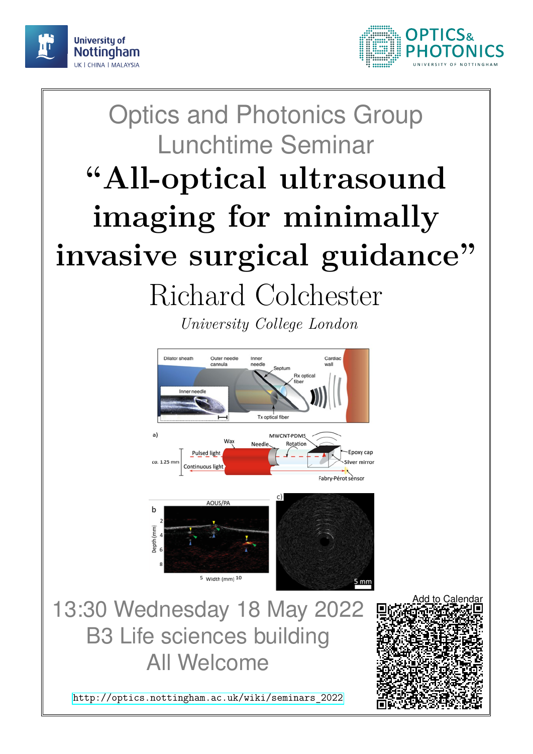



## Optics and Photonics Group Lunchtime Seminar **"All-optical ultrasound imaging for minimally invasive surgical guidance"** Richard Colchester

*University College London*



13:30 Wednesday 18 May 2022 B3 Life sciences building All Welcome

[http://optics.nottingham.ac.uk/wiki/seminars\\_2022](http://optics.nottingham.ac.uk/wiki/seminars_2022)